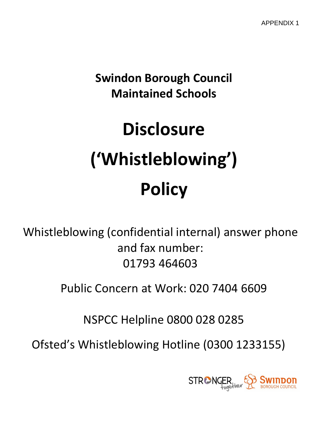## **Swindon Borough Council Maintained Schools**

# **Disclosure ('Whistleblowing') Policy**

Whistleblowing (confidential internal) answer phone and fax number: 01793 464603

Public Concern at Work: 020 7404 6609

NSPCC Helpline 0800 028 0285

Ofsted's Whistleblowing Hotline (0300 1233155)

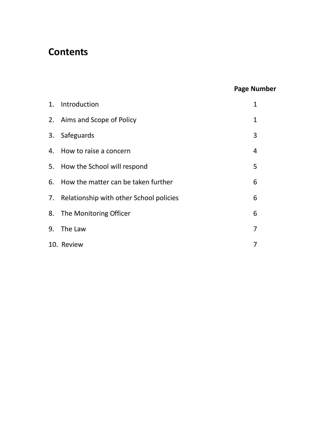## **Contents**

### **Page Number**

|    | 1. Introduction                            | 1 |
|----|--------------------------------------------|---|
|    | 2. Aims and Scope of Policy                | 1 |
|    | 3. Safeguards                              | 3 |
|    | 4. How to raise a concern                  | 4 |
|    | 5. How the School will respond             | 5 |
|    | 6. How the matter can be taken further     | 6 |
|    | 7. Relationship with other School policies | 6 |
| 8. | The Monitoring Officer                     | 6 |
| 9. | The Law                                    | 7 |
|    | 10. Review                                 |   |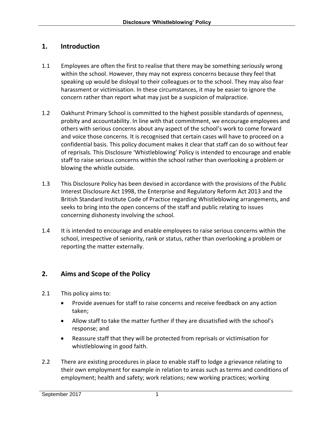#### **1. Introduction**

- 1.1 Employees are often the first to realise that there may be something seriously wrong within the school. However, they may not express concerns because they feel that speaking up would be disloyal to their colleagues or to the school. They may also fear harassment or victimisation. In these circumstances, it may be easier to ignore the concern rather than report what may just be a suspicion of malpractice.
- 1.2 Oakhurst Primary School is committed to the highest possible standards of openness, probity and accountability. In line with that commitment, we encourage employees and others with serious concerns about any aspect of the school's work to come forward and voice those concerns. It is recognised that certain cases will have to proceed on a confidential basis. This policy document makes it clear that staff can do so without fear of reprisals. This Disclosure 'Whistleblowing' Policy is intended to encourage and enable staff to raise serious concerns within the school rather than overlooking a problem or blowing the whistle outside.
- 1.3 This Disclosure Policy has been devised in accordance with the provisions of the Public Interest Disclosure Act 1998, the Enterprise and Regulatory Reform Act 2013 and the British Standard Institute Code of Practice regarding Whistleblowing arrangements, and seeks to bring into the open concerns of the staff and public relating to issues concerning dishonesty involving the school.
- 1.4 It is intended to encourage and enable employees to raise serious concerns within the school, irrespective of seniority, rank or status, rather than overlooking a problem or reporting the matter externally.

#### **2. Aims and Scope of the Policy**

- 2.1 This policy aims to:
	- Provide avenues for staff to raise concerns and receive feedback on any action taken;
	- Allow staff to take the matter further if they are dissatisfied with the school's response; and
	- Reassure staff that they will be protected from reprisals or victimisation for whistleblowing in good faith.
- 2.2 There are existing procedures in place to enable staff to lodge a grievance relating to their own employment for example in relation to areas such asterms and conditions of employment; health and safety; work relations; new working practices; working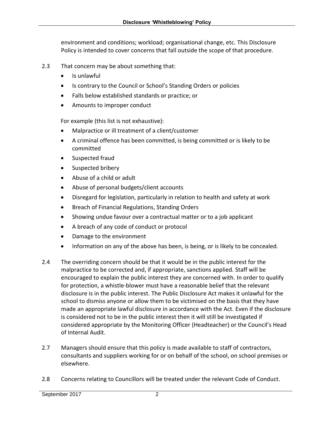environment and conditions; workload; organisational change, etc. This Disclosure Policy is intended to cover concerns that fall outside the scope of that procedure.

- 2.3 That concern may be about something that:
	- Is unlawful
	- Is contrary to the Council or School's Standing Orders or policies
	- Falls below established standards or practice; or
	- Amounts to improper conduct

For example (this list is not exhaustive):

- Malpractice or ill treatment of a client/customer
- A criminal offence has been committed, is being committed or is likely to be committed
- Suspected fraud
- Suspected bribery
- Abuse of a child or adult
- Abuse of personal budgets/client accounts
- Disregard for legislation, particularly in relation to health and safety at work
- Breach of Financial Regulations, Standing Orders
- Showing undue favour over a contractual matter or to a job applicant
- A breach of any code of conduct or protocol
- Damage to the environment
- Information on any of the above has been, is being, or is likely to be concealed.
- 2.4 The overriding concern should be that it would be in the public interest for the malpractice to be corrected and, if appropriate, sanctions applied. Staff will be encouraged to explain the public interest they are concerned with. In order to qualify for protection, a whistle-blower must have a reasonable belief that the relevant disclosure is in the public interest. The Public Disclosure Act makes it unlawful for the school to dismiss anyone or allow them to be victimised on the basis that they have made an appropriate lawful disclosure in accordance with the Act. Even if the disclosure is considered not to be in the public interest then it will still be investigated if considered appropriate by the Monitoring Officer (Headteacher) or the Council's Head of Internal Audit.
- 2.7 Managers should ensure that this policy is made available to staff of contractors, consultants and suppliers working for or on behalf of the school, on school premises or elsewhere.
- 2.8 Concerns relating to Councillors will be treated under the relevant Code of Conduct.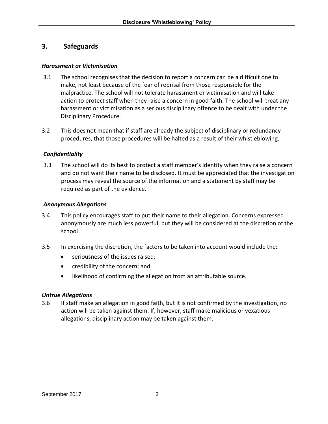#### **3. Safeguards**

#### *Harassment or Victimisation*

- 3.1 The school recognises that the decision to report a concern can be a difficult one to make, not least because of the fear of reprisal from those responsible for the malpractice. The school will not tolerate harassment or victimisation and will take action to protect staff when they raise a concern in good faith. The school will treat any harassment or victimisation as a serious disciplinary offence to be dealt with under the Disciplinary Procedure.
- 3.2 This does not mean that if staff are already the subject of disciplinary or redundancy procedures, that those procedures will be halted as a result of their whistleblowing.

#### *Confidentiality*

3.3 The school will do its best to protect a staff member's identity when they raise a concern and do not want their name to be disclosed. It must be appreciated that the investigation process may reveal the source of the information and a statement by staff may be required as part of the evidence.

#### *Anonymous Allegations*

- 3.4 This policy encourages staff to put their name to their allegation. Concerns expressed anonymously are much less powerful, but they will be considered at the discretion of the school
- 3.5 In exercising the discretion, the factors to be taken into account would include the:
	- seriousness of the issues raised;
	- credibility of the concern; and
	- likelihood of confirming the allegation from an attributable source.

#### *Untrue Allegations*

3.6 If staff make an allegation in good faith, but it is not confirmed by the investigation, no action will be taken against them. If, however, staff make malicious or vexatious allegations, disciplinary action may be taken against them.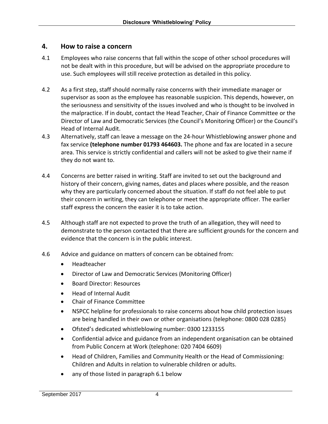#### **4. How to raise a concern**

- 4.1 Employees who raise concerns that fall within the scope of other school procedures will not be dealt with in this procedure, but will be advised on the appropriate procedure to use. Such employees will still receive protection as detailed in this policy.
- 4.2 As a first step, staff should normally raise concerns with their immediate manager or supervisor as soon as the employee has reasonable suspicion. This depends, however, on the seriousness and sensitivity of the issues involved and who is thought to be involved in the malpractice. If in doubt, contact the Head Teacher, Chair of Finance Committee or the Director of Law and Democratic Services (the Council's Monitoring Officer) or the Council's Head of Internal Audit.
- 4.3 Alternatively, staff can leave a message on the 24-hour Whistleblowing answer phone and fax service **(telephone number 01793 464603.** The phone and fax are located in a secure area. This service is strictly confidential and callers will not be asked to give their name if they do not want to.
- 4.4 Concerns are better raised in writing. Staff are invited to set out the background and history of their concern, giving names, dates and places where possible, and the reason why they are particularly concerned about the situation. If staff do not feel able to put their concern in writing, they can telephone or meet the appropriate officer. The earlier staff express the concern the easier it is to take action.
- 4.5 Although staff are not expected to prove the truth of an allegation, they will need to demonstrate to the person contacted that there are sufficient grounds for the concern and evidence that the concern is in the public interest.
- 4.6 Advice and guidance on matters of concern can be obtained from:
	- Headteacher
	- Director of Law and Democratic Services (Monitoring Officer)
	- Board Director: Resources
	- Head of Internal Audit
	- Chair of Finance Committee
	- NSPCC helpline for professionals to raise concerns about how child protection issues are being handled in their own or other organisations (telephone: 0800 028 0285)
	- Ofsted's dedicated whistleblowing number: 0300 1233155
	- Confidential advice and guidance from an independent organisation can be obtained from Public Concern at Work (telephone: 020 7404 6609)
	- Head of Children, Families and Community Health or the Head of Commissioning: Children and Adults in relation to vulnerable children or adults.
	- any of those listed in paragraph 6.1 below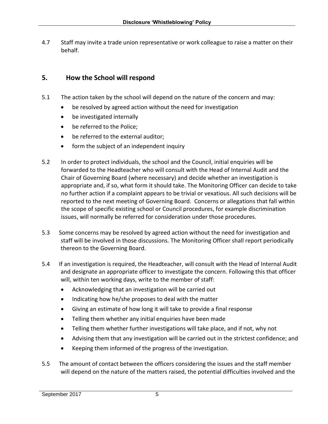4.7 Staff may invite a trade union representative or work colleague to raise a matter on their behalf.

#### **5. How the School will respond**

- 5.1 The action taken by the school will depend on the nature of the concern and may:
	- be resolved by agreed action without the need for investigation
	- be investigated internally
	- be referred to the Police;
	- be referred to the external auditor;
	- form the subject of an independent inquiry
- 5.2 In order to protect individuals, the school and the Council, initial enquiries will be forwarded to the Headteacher who will consult with the Head of Internal Audit and the Chair of Governing Board (where necessary) and decide whether an investigation is appropriate and, if so, what form it should take. The Monitoring Officer can decide to take no further action if a complaint appears to be trivial or vexatious. All such decisions will be reported to the next meeting of Governing Board. Concerns or allegations that fall within the scope of specific existing school or Council procedures, for example discrimination issues, will normally be referred for consideration under those procedures.
- 5.3 Some concerns may be resolved by agreed action without the need for investigation and staff will be involved in those discussions. The Monitoring Officer shall report periodically thereon to the Governing Board.
- 5.4 If an investigation is required, the Headteacher, will consult with the Head of Internal Audit and designate an appropriate officer to investigate the concern. Following this that officer will, within ten working days, write to the member of staff:
	- Acknowledging that an investigation will be carried out
	- Indicating how he/she proposes to deal with the matter
	- Giving an estimate of how long it will take to provide a final response
	- Telling them whether any initial enquiries have been made
	- Telling them whether further investigations will take place, and if not, why not
	- Advising them that any investigation will be carried out in the strictest confidence; and
	- Keeping them informed of the progress of the investigation.
- 5.5 The amount of contact between the officers considering the issues and the staff member will depend on the nature of the matters raised, the potential difficulties involved and the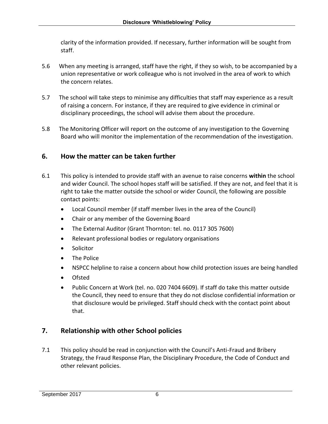clarity of the information provided. If necessary, further information will be sought from staff.

- 5.6 When any meeting is arranged, staff have the right, if they so wish, to be accompanied by a union representative or work colleague who is not involved in the area of work to which the concern relates.
- 5.7 The school will take steps to minimise any difficulties that staff may experience as a result of raising a concern. For instance, if they are required to give evidence in criminal or disciplinary proceedings, the school will advise them about the procedure.
- 5.8 The Monitoring Officer will report on the outcome of any investigation to the Governing Board who will monitor the implementation of the recommendation of the investigation.

#### **6. How the matter can be taken further**

- 6.1 This policy is intended to provide staff with an avenue to raise concerns **within** the school and wider Council. The school hopes staff will be satisfied. If they are not, and feel that it is right to take the matter outside the school or wider Council, the following are possible contact points:
	- Local Council member (if staff member lives in the area of the Council)
	- Chair or any member of the Governing Board
	- The External Auditor (Grant Thornton: tel. no. 0117 305 7600)
	- Relevant professional bodies or regulatory organisations
	- Solicitor
	- The Police
	- NSPCC helpline to raise a concern about how child protection issues are being handled
	- Ofsted
	- Public Concern at Work (tel. no. 020 7404 6609). If staff do take this matter outside the Council, they need to ensure that they do not disclose confidential information or that disclosure would be privileged. Staff should check with the contact point about that.

#### **7. Relationship with other School policies**

7.1 This policy should be read in conjunction with the Council's Anti-Fraud and Bribery Strategy, the Fraud Response Plan, the Disciplinary Procedure, the Code of Conduct and other relevant policies.